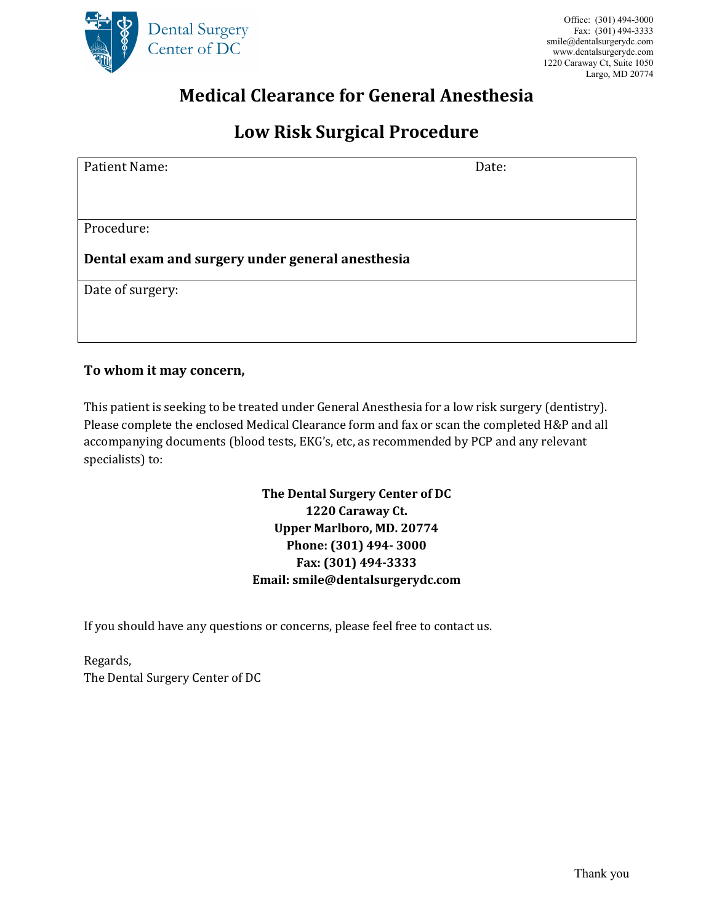

## Medical Clearance for General Anesthesia

## Low Risk Surgical Procedure

| Patient Name:                                    | Date: |  |  |  |  |
|--------------------------------------------------|-------|--|--|--|--|
|                                                  |       |  |  |  |  |
|                                                  |       |  |  |  |  |
| Procedure:                                       |       |  |  |  |  |
| Dental exam and surgery under general anesthesia |       |  |  |  |  |
| Date of surgery:                                 |       |  |  |  |  |
|                                                  |       |  |  |  |  |
|                                                  |       |  |  |  |  |

## To whom it may concern,

This patient is seeking to be treated under General Anesthesia for a low risk surgery (dentistry). Please complete the enclosed Medical Clearance form and fax or scan the completed H&P and all accompanying documents (blood tests, EKG's, etc, as recommended by PCP and any relevant specialists) to:

## The Dental Surgery Center of DC 1220 Caraway Ct. Upper Marlboro, MD. 20774 Phone: (301) 494- 3000 Fax: (301) 494-3333 Email: smile@dentalsurgerydc.com

If you should have any questions or concerns, please feel free to contact us.

Regards, The Dental Surgery Center of DC